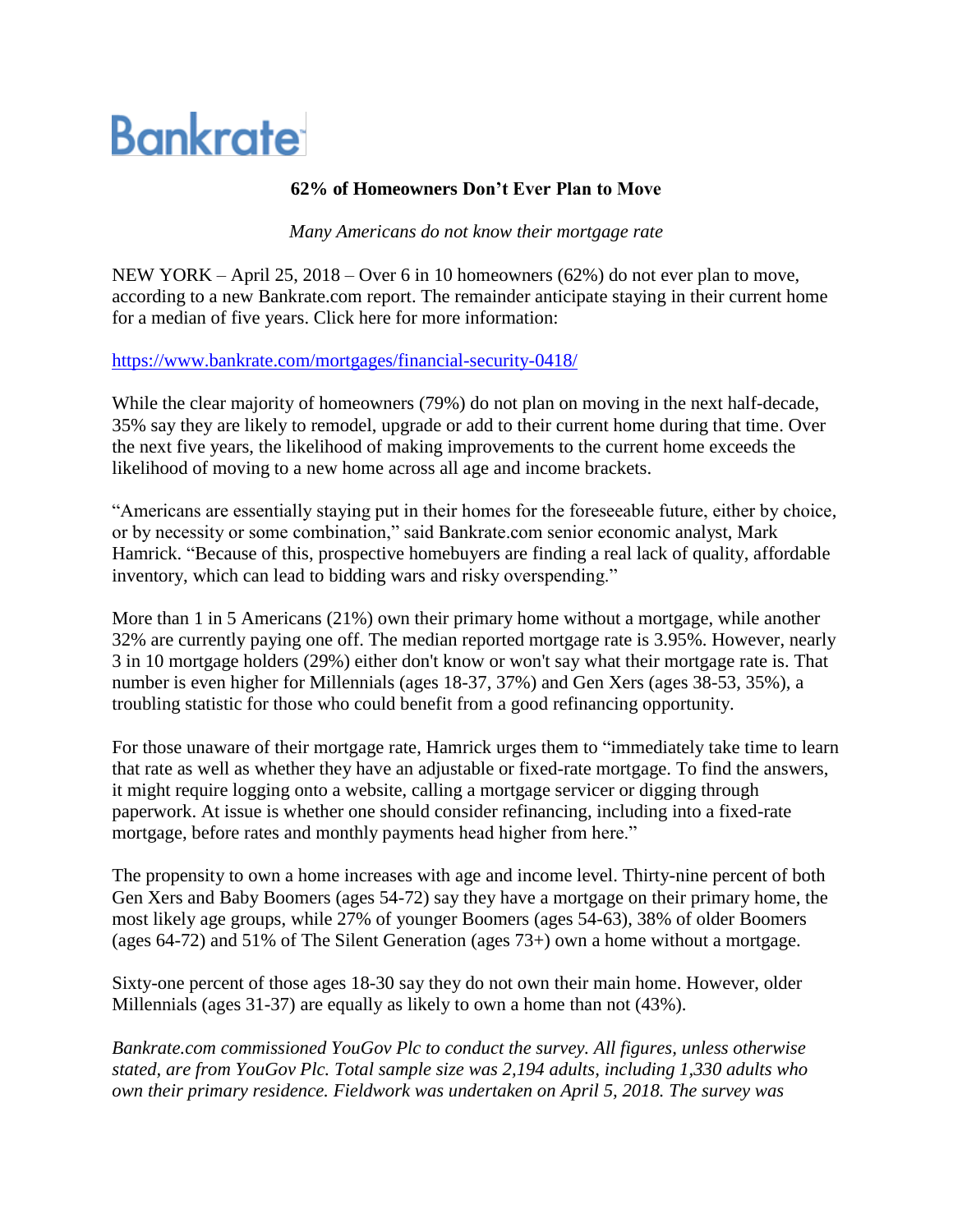# **Bankrate**

## **62% of Homeowners Don't Ever Plan to Move**

*Many Americans do not know their mortgage rate*

NEW YORK – April 25, 2018 – Over 6 in 10 homeowners (62%) do not ever plan to move, according to a new Bankrate.com report. The remainder anticipate staying in their current home for a median of five years. Click here for more information:

### <https://www.bankrate.com/mortgages/financial-security-0418/>

While the clear majority of homeowners (79%) do not plan on moving in the next half-decade, 35% say they are likely to remodel, upgrade or add to their current home during that time. Over the next five years, the likelihood of making improvements to the current home exceeds the likelihood of moving to a new home across all age and income brackets.

"Americans are essentially staying put in their homes for the foreseeable future, either by choice, or by necessity or some combination," said Bankrate.com senior economic analyst, Mark Hamrick. "Because of this, prospective homebuyers are finding a real lack of quality, affordable inventory, which can lead to bidding wars and risky overspending."

More than 1 in 5 Americans (21%) own their primary home without a mortgage, while another 32% are currently paying one off. The median reported mortgage rate is 3.95%. However, nearly 3 in 10 mortgage holders (29%) either don't know or won't say what their mortgage rate is. That number is even higher for Millennials (ages 18-37, 37%) and Gen Xers (ages 38-53, 35%), a troubling statistic for those who could benefit from a good refinancing opportunity.

For those unaware of their mortgage rate, Hamrick urges them to "immediately take time to learn that rate as well as whether they have an adjustable or fixed-rate mortgage. To find the answers, it might require logging onto a website, calling a mortgage servicer or digging through paperwork. At issue is whether one should consider refinancing, including into a fixed-rate mortgage, before rates and monthly payments head higher from here."

The propensity to own a home increases with age and income level. Thirty-nine percent of both Gen Xers and Baby Boomers (ages 54-72) say they have a mortgage on their primary home, the most likely age groups, while 27% of younger Boomers (ages 54-63), 38% of older Boomers (ages 64-72) and 51% of The Silent Generation (ages 73+) own a home without a mortgage.

Sixty-one percent of those ages 18-30 say they do not own their main home. However, older Millennials (ages 31-37) are equally as likely to own a home than not (43%).

*Bankrate.com commissioned YouGov Plc to conduct the survey. All figures, unless otherwise stated, are from YouGov Plc. Total sample size was 2,194 adults, including 1,330 adults who own their primary residence. Fieldwork was undertaken on April 5, 2018. The survey was*